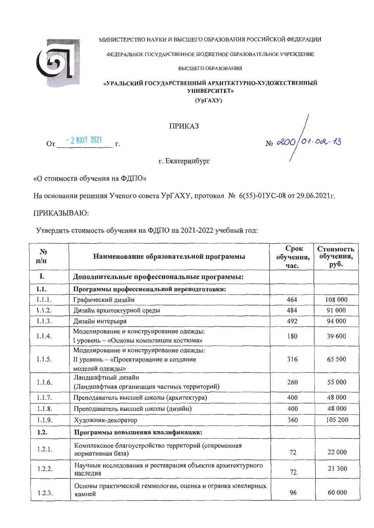МИНИСТЕРСТВО НАУКИ И ВЫСШЕГО ОБРАЗОВАНИЯ РОССИЙСКОЙ ФЕДЕРАЦИИ



ФЕДЕРАЛЬНОЕ ГОСУДАРСТВЕННОЕ БЮДЖЕТНОЕ ОБРАЗОВАТЕЛЬНОЕ УЧРЕЖДЕНИЕ

ВЫСШЕГО ОБРАЗОВАНИЯ

## «УРАЛЬСКИЙ ГОСУДАРСТВЕННЫЙ АРХИТЕКТУРНО-ХУДОЖЕСТВЕННЫЙ **УНИВЕРСИТЕТ»**

 $(Yp\Gamma A XY)$ 

 $N<sub>0</sub>$  200 01.02.13

**ПРИКАЗ** 

 $O_T$  - 2 MION 2021  $r$ .

г. Екатеринбург

«О стоимости обучения на ФДПО»

На основании решения Ученого совета УрГАХУ, протокол № 6(55)-01УС-08 от 29.06.2021г.

ПРИКАЗЫВАЮ:

Утвердить стоимость обучения на ФДПО на 2021-2022 учебный год:

| N <sub>2</sub><br>$\mathbf{n}/\mathbf{n}$ | Наименование образовательной программы                                                                | Срок<br>обучения,<br>час. | Стоимость<br>обучения,<br>руб. |
|-------------------------------------------|-------------------------------------------------------------------------------------------------------|---------------------------|--------------------------------|
| I.                                        | Дополнительные профессиональные программы:                                                            |                           |                                |
| 1.1.                                      | Программы профессиональной переподготовки:                                                            |                           |                                |
| 1.1.1.                                    | Графический дизайн                                                                                    | 464                       | 108 000                        |
| 1.1.2.                                    | Дизайн архитектурной среды                                                                            | 484                       | 91 000                         |
| 1.1.3.                                    | Дизайн интерьера                                                                                      | 492                       | 94 000                         |
| 1.1.4.                                    | Моделирование и конструирование одежды:<br>I уровень - «Основы композиции костюма»                    | 180                       | 39 600                         |
| 1.1.5.                                    | Моделирование и конструирование одежды:<br>II уровень - «Проектирование и создание<br>моделей одежды» | 316                       | 65 500                         |
| 1.1.6.                                    | Ландшафтный дизайн<br>(Ландшафтная организация частных территорий)                                    | 260                       | 55 000                         |
| 1.1.7.                                    | Преподаватель высшей школы (архитектура)                                                              | 400                       | 48 000                         |
| 1.1.8.                                    | Преподаватель высшей школы (дизайн)                                                                   | 400                       | 48 000                         |
| 1.1.9.                                    | Художник-декоратор                                                                                    | 360                       | 105 200                        |
| 1.2.                                      | Программы повышения квалификации:                                                                     |                           |                                |
| 1.2.1.                                    | Комплексное благоустройство территорий (современная<br>нормативная база)                              | 72                        | 22 000                         |
| 1.2.2.                                    | Научные исследования и реставрация объектов архитектурного<br>наследия                                | 72                        | 21 300                         |
| 1.2.3.                                    | Основы практической геммологии, оценка и огранка ювелирных<br>камней                                  | 96                        | 60 000                         |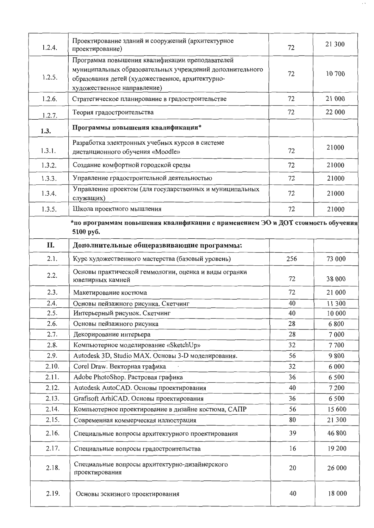| 1.2.4. | Проектирование зданий и сооружений (архитектурное<br>проектирование)                                                                                                                           | 72  | 21 300  |  |
|--------|------------------------------------------------------------------------------------------------------------------------------------------------------------------------------------------------|-----|---------|--|
| 1.2.5. | Программа повышения квалификации преподавателей<br>муниципальных образовательных учреждений дополнительного<br>образования детей (художественное, архитектурно-<br>художественное направление) | 72  | 10 700  |  |
| 1.2.6. | Стратегическое планирование в градостроительстве                                                                                                                                               | 72  | 21 000  |  |
| 1.2.7. | Теория градостроительства                                                                                                                                                                      | 72  | 22 000  |  |
| 1.3.   | Программы повышения квалификации*                                                                                                                                                              |     |         |  |
| 1.3.1. | Разработка электронных учебных курсов в системе<br>дистанционного обучения «Moodle»                                                                                                            | 72  | 21000   |  |
| 1.3.2. | Создание комфортной городской среды                                                                                                                                                            | 72  | 21000   |  |
| 1.3.3. | Управление градостроительной деятельностью                                                                                                                                                     | 72  | 21000   |  |
| 1.3.4. | Управление проектом (для государственных и муниципальных<br>служащих)                                                                                                                          | 72  | 21000   |  |
| 1.3.5. | Школа проектного мышления                                                                                                                                                                      | 72  | 21000   |  |
|        | *по программам повышения квалификации с применением ЭО и ДОТ стоимость обучения<br>5100 py <sub>6</sub> .                                                                                      |     |         |  |
| II.    | Дополнительные общеразвивающие программы:                                                                                                                                                      |     |         |  |
| 2.1.   | Курс художественного мастерства (базовый уровень)                                                                                                                                              | 256 | 73 000  |  |
| 2.2.   | Основы практической геммологии, оценка и виды огранки<br>ювелирных камней                                                                                                                      | 72  | 38 000  |  |
| 2.3.   | Макетирование костюма                                                                                                                                                                          | 72  | 21 000  |  |
| 2.4.   | Основы пейзажного рисунка. Скетчинг                                                                                                                                                            | 40  | 11 300  |  |
| 2.5.   | Интерьерный рисунок. Скетчинг                                                                                                                                                                  | 40  | 10 000  |  |
| 2.6.   | Основы пейзажного рисунка                                                                                                                                                                      | 28  | 6 8 0 0 |  |
| 2.7.   | Декорирование интерьера                                                                                                                                                                        | 28  | 7 0 0 0 |  |
| 2.8.   | Компьютерное моделирование «SketchUp»                                                                                                                                                          | 32  | 7700    |  |
| 2.9.   | Autodesk 3D, Studio MAX. Основы 3-D моделирования.                                                                                                                                             | 56  | 9800    |  |
| 2.10.  | Corel Draw. Векторная графика                                                                                                                                                                  | 32  | 6 0 0 0 |  |
| 2.11.  | Adobe PhotoShop. Растровая графика                                                                                                                                                             | 36  | 6 500   |  |
| 2.12.  | Autodesk AutoCAD. Основы проектирования                                                                                                                                                        | 40  | 7 200   |  |
| 2.13.  | Grafisoft ArhiCAD. Основы проектирования                                                                                                                                                       | 36  | 6 5 0 0 |  |
| 2.14.  | Компьютерное проектирование в дизайне костюма, САПР                                                                                                                                            | 56  | 15 600  |  |
| 2.15.  | Современная коммерческая иллюстрация                                                                                                                                                           | 80  | 21 300  |  |
| 2.16.  | Специальные вопросы архитектурного проектирования                                                                                                                                              | 39  | 46 800  |  |
| 2.17.  | Специальные вопросы градостроительства                                                                                                                                                         | 16  | 19 200  |  |
| 2.18.  | Специальные вопросы архитектурно-дизайнерского<br>проектирования                                                                                                                               | 20  | 26 000  |  |
| 2.19.  | Основы эскизного проектирования                                                                                                                                                                | 40  | 18 000  |  |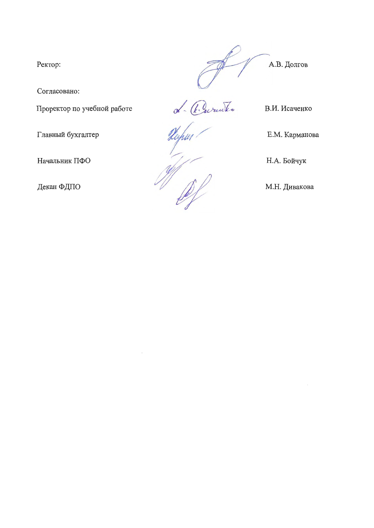Ректор:

Согласовано:

Проректор по учебной работе

Главный бухгалтер

Начальник ПФО

Декан ФДПО



Levendre

В.И. Исаченко

 $\mathbb{Z}$ 

Е.М. Карманова

Н.А. Бойчук

М.Н. Дивакова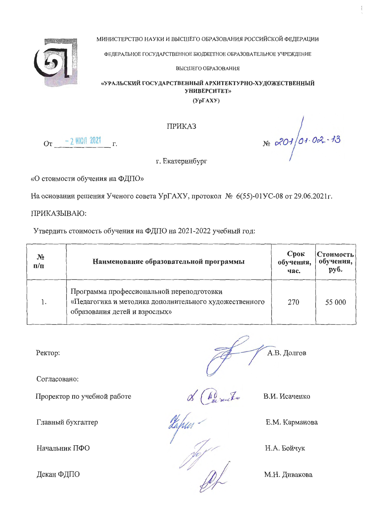МИНИСТЕРСТВО НАУКИ И ВЫСШЕГО ОБРАЗОВАНИЯ РОССИЙСКОЙ ФЕЛЕРАЦИИ



ФЕДЕРАЛЬНОЕ ГОСУДАРСТВЕННОЕ БЮДЖЕТНОЕ ОБРАЗОВАТЕЛЬНОЕ УЧРЕЖДЕНИЕ

ВЫСШЕГО ОБРАЗОВАНИЯ

## «УРАЛЬСКИЙ ГОСУДАРСТВЕННЫЙ АРХИТЕКТУРНО-ХУДОЖЕСТВЕННЫЙ **УНИВЕРСИТЕТ»**

 $(Yp\Gamma AXY)$ 

**ПРИКАЗ** 

 $O_T$  - 2 MION 2021  $r$ .

г. Екатеринбург

«О стоимости обучения на ФДПО»

На основании решения Ученого совета УрГАХУ, протокол № 6(55)-01УС-08 от 29.06.2021г.

ПРИКАЗЫВАЮ:

Утвердить стоимость обучения на ФДПО на 2021-2022 учебный год:

| N <sub>2</sub><br>$\mathbf{n}/\mathbf{n}$ | Наименование образовательной программы                                                                                               | Срок<br>обучения,<br>час. | Стоимость<br>обучения,<br>руб. |
|-------------------------------------------|--------------------------------------------------------------------------------------------------------------------------------------|---------------------------|--------------------------------|
|                                           | Программа профессиональной переподготовки<br>«Педагогика и методика дополнительного художественного<br>образования детей и взрослых» | 270                       | 55 000                         |

Ректор:

Согласовано:

Проректор по учебной работе

Главный бухгалтер

Начальник ПФО

Декан ФДПО

А.В. Долгов

В.И. Исаченко

 $N<sub>2</sub>$   $\alpha$   $\frac{201}{01}$   $0\alpha$   $\frac{13}{0}$ 

Е.М. Карманова

de Conseile

Н.А. Бойчук

М.Н. Дивакова